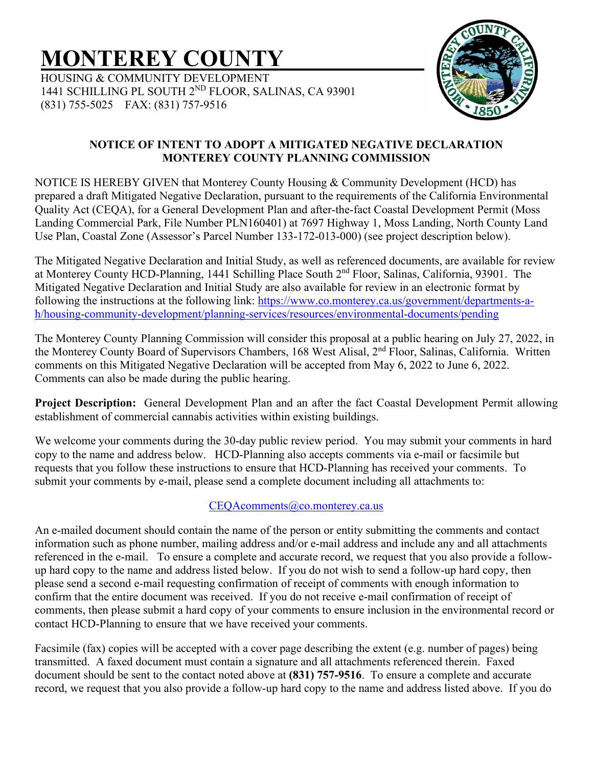# **MONTEREY COUNTY**

HOUSING & COMMUNITY DEVELOPMENT 1441 SCHILLING PL SOUTH 2ND FLOOR, SALINAS, CA 93901 (831) 755-5025 FAX: (831) 757-9516



### **NOTICE OF INTENT TO ADOPT A MITIGATED NEGATIVE DECLARATION MONTEREY COUNTY PLANNING COMMISSION**

NOTICE IS HEREBY GIVEN that Monterey County Housing & Community Development (HCD) has prepared a draft Mitigated Negative Declaration, pursuant to the requirements of the California Environmental Quality Act (CEQA), for a General Development Plan and after-the-fact Coastal Development Permit (Moss Landing Commercial Park, File Number PLN160401) at 7697 Highway 1, Moss Landing, North County Land Use Plan, Coastal Zone (Assessor's Parcel Number 133-172-013-000) (see project description below).

The Mitigated Negative Declaration and Initial Study, as well as referenced documents, are available for review at Monterey County HCD-Planning, 1441 Schilling Place South 2nd Floor, Salinas, California, 93901. The Mitigated Negative Declaration and Initial Study are also available for review in an electronic format by following the instructions at the following link: [https://www.co.monterey.ca.us/government/departments-a](https://www.co.monterey.ca.us/government/departments-a-h/housing-community-development/planning-services/resources/environmental-documents/pending)[h/housing-community-development/planning-services/resources/environmental-documents/pending](https://www.co.monterey.ca.us/government/departments-a-h/housing-community-development/planning-services/resources/environmental-documents/pending)

The Monterey County Planning Commission will consider this proposal at a public hearing on July 27, 2022, in the Monterey County Board of Supervisors Chambers, 168 West Alisal, 2<sup>nd</sup> Floor, Salinas, California. Written comments on this Mitigated Negative Declaration will be accepted from May 6, 2022 to June 6, 2022. Comments can also be made during the public hearing.

**Project Description:** General Development Plan and an after the fact Coastal Development Permit allowing establishment of commercial cannabis activities within existing buildings.

We welcome your comments during the 30-day public review period. You may submit your comments in hard copy to the name and address below. HCD-Planning also accepts comments via e-mail or facsimile but requests that you follow these instructions to ensure that HCD-Planning has received your comments. To submit your comments by e-mail, please send a complete document including all attachments to:

## CEOAcomments@co.monterey.ca.us

An e-mailed document should contain the name of the person or entity submitting the comments and contact information such as phone number, mailing address and/or e-mail address and include any and all attachments referenced in the e-mail. To ensure a complete and accurate record, we request that you also provide a followup hard copy to the name and address listed below. If you do not wish to send a follow-up hard copy, then please send a second e-mail requesting confirmation of receipt of comments with enough information to confirm that the entire document was received. If you do not receive e-mail confirmation of receipt of comments, then please submit a hard copy of your comments to ensure inclusion in the environmental record or contact HCD-Planning to ensure that we have received your comments.

Facsimile (fax) copies will be accepted with a cover page describing the extent (e.g. number of pages) being transmitted. A faxed document must contain a signature and all attachments referenced therein. Faxed document should be sent to the contact noted above at **(831) 757-9516**. To ensure a complete and accurate record, we request that you also provide a follow-up hard copy to the name and address listed above. If you do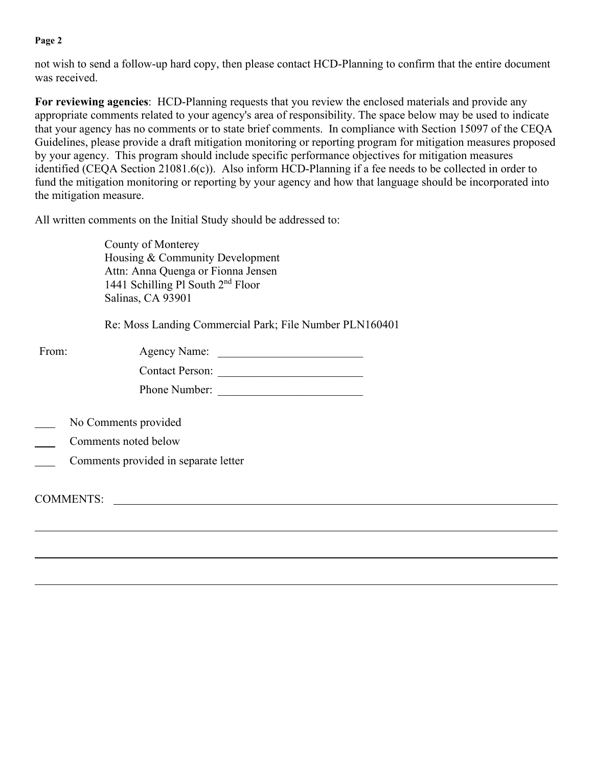#### **Page 2**

not wish to send a follow-up hard copy, then please contact HCD-Planning to confirm that the entire document was received.

**For reviewing agencies**: HCD-Planning requests that you review the enclosed materials and provide any appropriate comments related to your agency's area of responsibility. The space below may be used to indicate that your agency has no comments or to state brief comments. In compliance with Section 15097 of the CEQA Guidelines, please provide a draft mitigation monitoring or reporting program for mitigation measures proposed by your agency. This program should include specific performance objectives for mitigation measures identified (CEQA Section 21081.6(c)). Also inform HCD-Planning if a fee needs to be collected in order to fund the mitigation monitoring or reporting by your agency and how that language should be incorporated into the mitigation measure.

All written comments on the Initial Study should be addressed to:

County of Monterey Housing & Community Development Attn: Anna Quenga or Fionna Jensen 1441 Schilling Pl South 2<sup>nd</sup> Floor Salinas, CA 93901

Re: Moss Landing Commercial Park; File Number PLN160401

| From: | Agency Name:           |  |
|-------|------------------------|--|
|       | <b>Contact Person:</b> |  |
|       | Phone Number:          |  |

- No Comments provided
- Comments noted below
- Comments provided in separate letter

COMMENTS: